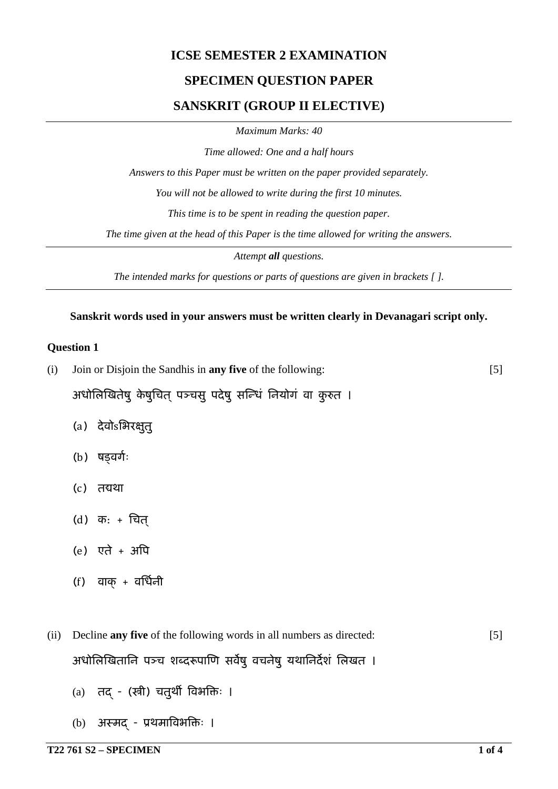# **ICSE SEMESTER 2 EXAMINATION**

## **SPECIMEN QUESTION PAPER**

## **SANSKRIT (GROUP II ELECTIVE)**

*Maximum Marks: 40*

*Time allowed: One and a half hours*

*Answers to this Paper must be written on the paper provided separately.*

*You will not be allowed to write during the first 10 minutes.*

*This time is to be spent in reading the question paper.*

*The time given at the head of this Paper is the time allowed for writing the answers.*

*Attempt all questions.*

*The intended marks for questions or parts of questions are given in brackets [ ].*

#### **Sanskrit words used in your answers must be written clearly in Devanagari script only.**

#### **Question 1**

(i) Join or Disjoin the Sandhis in **any five** of the following: [5]

अधोलिखितेषु केषुचित् पञ्चसु पदेषु सन्धिं नियोगं वा कुरुत ।

- (a) देवोsिभरक्षुतु
- (b) षड्वर्गः
- (c) त�था
- (d) क: + चित्
- $(e)$  एते + अपि
- $(f)$  वाक् + वर्धिनी
- (ii) Decline **any five** of the following words in all numbers as directed: [5] अधोलिखितानि पञ्च शब्दरूपाणि सर्वेषु वचनेषु यथानिर्देशं लिखत ।
	- $(a)$  तद (स्री) चतुर्थी विभक्तिः ।
	- (b) अस्मद प्रथमाविभक्तिः ।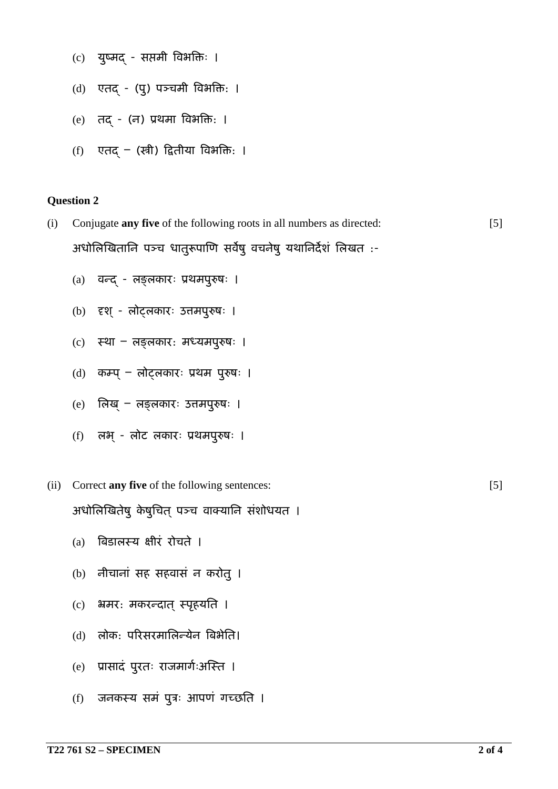- युष्मद सप्तमी विभक्तिः ।  $(c)$
- एतद (पु) पञ्चमी विभक्ति: ।  $(d)$
- तद् (न) प्रथमा विभक्तिः ।  $(e)$
- एतद (स्त्री) द्वितीया विभक्ति: ।  $(f)$

### **Question 2**

- Conjugate any five of the following roots in all numbers as directed:  $[5]$  $(i)$ अधोलिखितानि पञ्च धातुरूपाणि सर्वेषु वचनेषु यथानिर्देशं लिखत :-
	- वन्द् लङ्लकारः प्रथमपुरुषः ।  $(a)$
	- दृश् लोट्लकारः उत्तमपुरुषः ।  $(b)$
	- स्था लङ्लकार: मध्यमपुरुषः ।  $(c)$
	- कम्प् लोट्लकारः प्रथम पुरुषः ।  $(d)$
	- लिख् लङ्लकारः उत्तमपुरुषः ।  $(e)$
	- लभ् लोट लकारः प्रथमपुरुषः ।  $(f)$
- (ii) Correct any five of the following sentences:

अधोलिखितेषु केषुचित् पञ्च वाक्यानि संशोधयत ।

- बिडालस्य क्षीरं रोचते ।  $(a)$
- नीचानां सह सहवासं न करोत् ।  $(b)$
- भ्रमरः मकरन्दात् स्पृहयति ।  $(c)$
- लोकः परिसरमालिन्येन बिभेति।  $(d)$
- प्रासादं पुरतः राजमार्गःअस्ति ।  $(e)$
- जनकस्य समं पुत्रः आपणं गच्छति ।  $(f)$

 $\lceil 5 \rceil$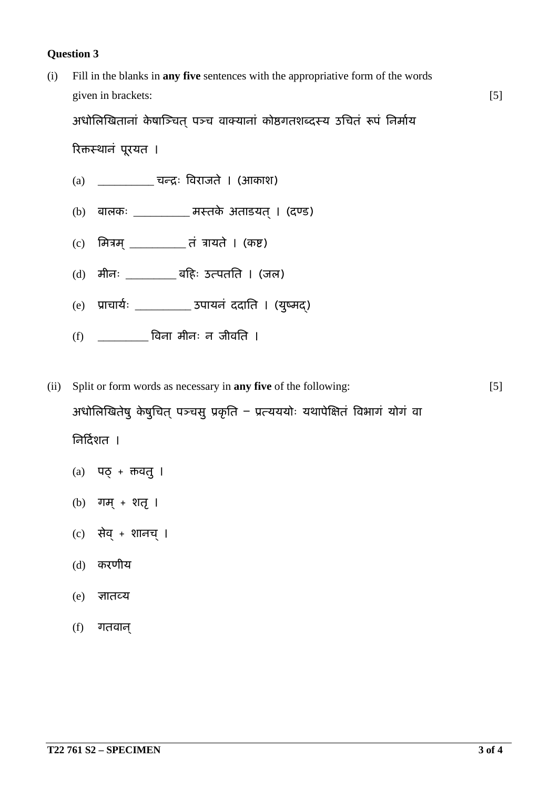### **Question 3**

(i) Fill in the blanks in **any five** sentences with the appropriative form of the words given in brackets: [5]

अधोलिखितानां केषाञ्चित पञ्च वाक्यानां कोष्ठगतशब्दस्य उचितं रूपं निर्माय

रिक्तस्थानं पूरयत ।

- (a) \_\_\_\_\_\_\_\_\_\_ चन्�ः �वराजते । (आकाश)
- $(b)$  बालकः \_\_\_\_\_\_\_\_\_\_ मस्तके अताडयत् । (दण्ड)
- (c) मित्रम \_\_\_\_\_\_\_\_\_\_\_\_\_ तं त्रायते । (कष्ट)
- (d) मीनः \_\_\_\_\_\_\_\_\_ ब�हः उत्पतित । (जल)
- (e) �ाचायर्ः \_\_\_\_\_\_\_\_\_\_ उपायनं ददाित । (युष्मद्)
- (f) \_\_\_\_\_\_\_\_\_ �वना मीनः न जीवित ।

(ii) Split or form words as necessary in **any five** of the following: [5] अधोलिखितेषु केषुचित् पञ्चसु प्रकृति – प्रत्यययोः यथापेक्षितं विभागं योगं वा िन�दर्शत ।

- $(a)$  पठ् + क्तवत् ।
- $(b)$  गम् + शतृ ।
- $(c)$  सेव् + शानच् ।
- (d) करणीय
- (e) ज्ञातव्य
- (f) गतवान्